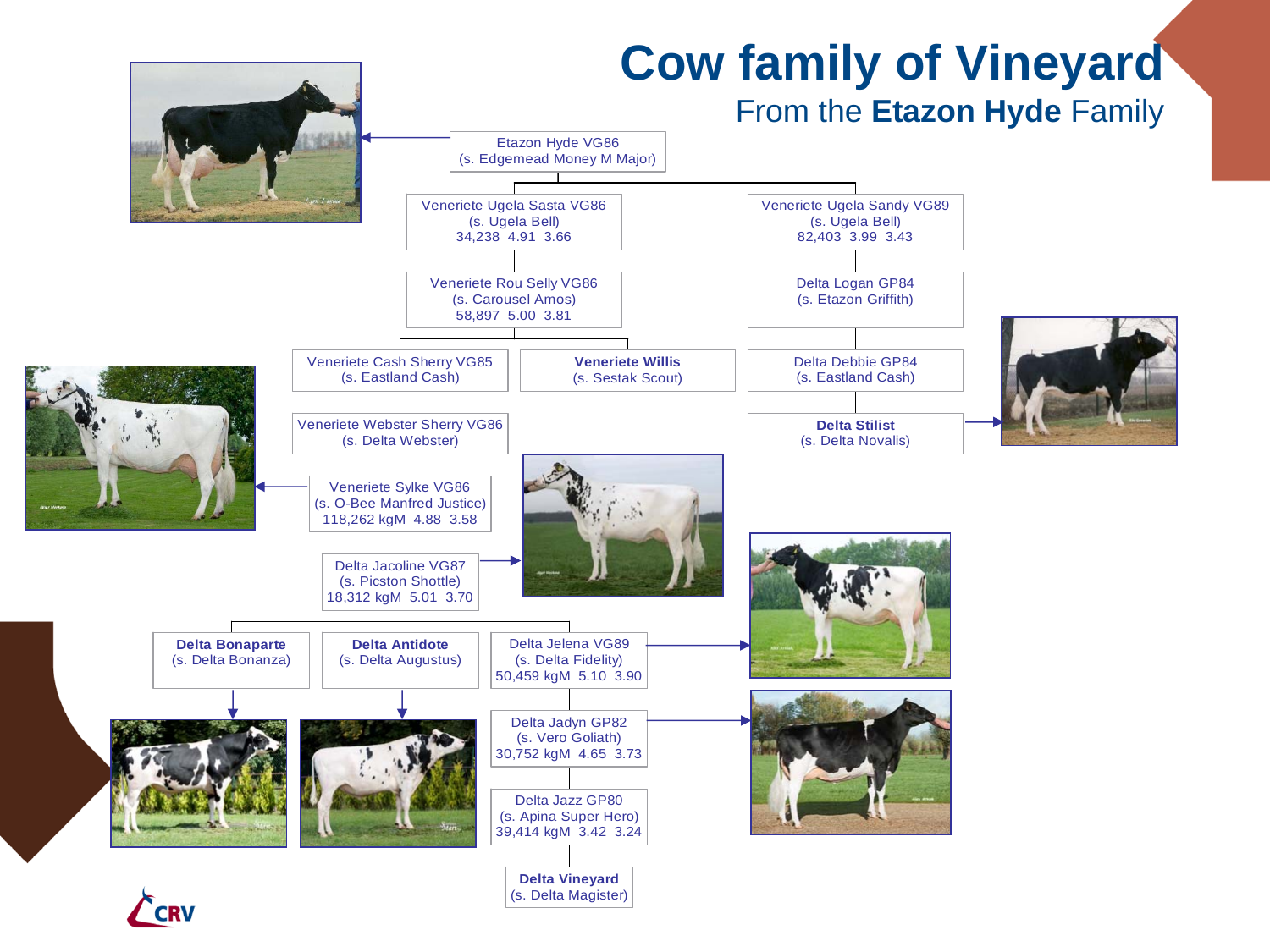